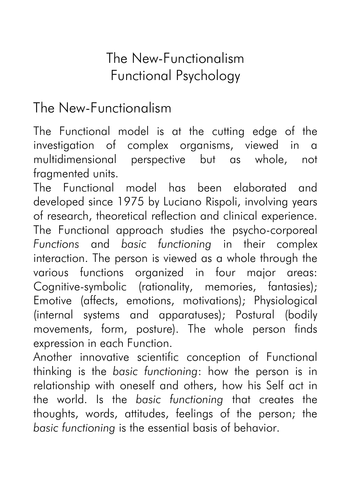# The New-Functionalism Functional Psychology

## The New-Functionalism

The Functional model is at the cutting edge of the investigation of complex organisms, viewed in a multidimensional perspective but as whole, not fragmented units.

The Functional model has been elaborated and developed since 1975 by Luciano Rispoli, involving years of research, theoretical reflection and clinical experience. The Functional approach studies the psycho-corporeal *Functions* and *basic functioning* in their complex interaction. The person is viewed as a whole through the various functions organized in four major areas: Cognitive-symbolic (rationality, memories, fantasies); Emotive (affects, emotions, motivations); Physiological (internal systems and apparatuses); Postural (bodily movements, form, posture). The whole person finds expression in each Function.

Another innovative scientific conception of Functional thinking is the *basic functioning*: how the person is in relationship with oneself and others, how his Self act in the world. Is the *basic functioning* that creates the thoughts, words, attitudes, feelings of the person; the *basic functioning* is the essential basis of behavior.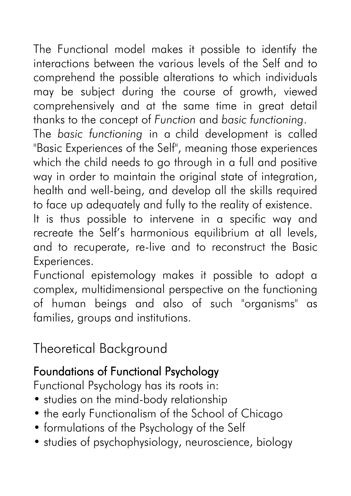The Functional model makes it possible to identify the interactions between the various levels of the Self and to comprehend the possible alterations to which individuals may be subject during the course of growth, viewed comprehensively and at the same time in great detail thanks to the concept of *Function* and *basic functioning*.

The *basic functioning* in a child development is called "Basic Experiences of the Self", meaning those experiences which the child needs to go through in a full and positive way in order to maintain the original state of integration, health and well-being, and develop all the skills required to face up adequately and fully to the reality of existence.

It is thus possible to intervene in a specific way and recreate the Self's harmonious equilibrium at all levels, and to recuperate, re-live and to reconstruct the Basic Experiences.

Functional epistemology makes it possible to adopt a complex, multidimensional perspective on the functioning of human beings and also of such "organisms" as families, groups and institutions.

# Theoretical Background

## Foundations of Functional Psychology

Functional Psychology has its roots in:

- studies on the mind-body relationship
- the early Functionalism of the School of Chicago
- formulations of the Psychology of the Self
- studies of psychophysiology, neuroscience, biology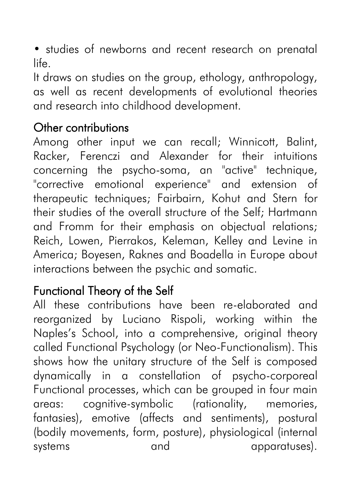• studies of newborns and recent research on prenatal life.

It draws on studies on the group, ethology, anthropology, as well as recent developments of evolutional theories and research into childhood development.

### Other contributions

Among other input we can recall; Winnicott, Balint, Racker, Ferenczi and Alexander for their intuitions concerning the psycho-soma, an "active" technique, "corrective emotional experience" and extension of therapeutic techniques; Fairbairn, Kohut and Stern for their studies of the overall structure of the Self; Hartmann and Fromm for their emphasis on objectual relations; Reich, Lowen, Pierrakos, Keleman, Kelley and Levine in America; Boyesen, Raknes and Boadella in Europe about interactions between the psychic and somatic.

### Functional Theory of the Self

All these contributions have been re-elaborated and reorganized by Luciano Rispoli, working within the Naples's School, into a comprehensive, original theory called Functional Psychology (or Neo-Functionalism). This shows how the unitary structure of the Self is composed dynamically in a constellation of psycho-corporeal Functional processes, which can be grouped in four main areas: cognitive-symbolic (rationality, memories, fantasies), emotive (affects and sentiments), postural (bodily movements, form, posture), physiological (internal systems and apparatuses).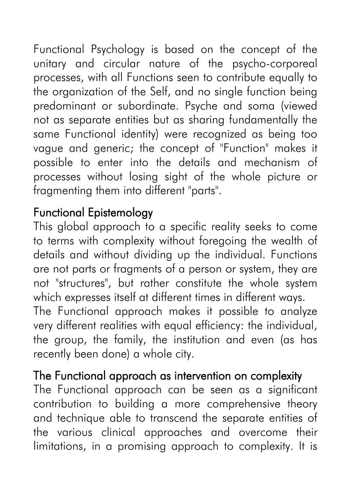Functional Psychology is based on the concept of the unitary and circular nature of the psycho-corporeal processes, with all Functions seen to contribute equally to the organization of the Self, and no single function being predominant or subordinate. Psyche and soma (viewed not as separate entities but as sharing fundamentally the same Functional identity) were recognized as being too vague and generic; the concept of "Function" makes it possible to enter into the details and mechanism of processes without losing sight of the whole picture or fragmenting them into different "parts".

### Functional Epistemology

This global approach to a specific reality seeks to come to terms with complexity without foregoing the wealth of details and without dividing up the individual. Functions are not parts or fragments of a person or system, they are not "structures", but rather constitute the whole system which expresses itself at different times in different ways. The Functional approach makes it possible to analyze very different realities with equal efficiency: the individual, the group, the family, the institution and even (as has recently been done) a whole city.

#### The Functional approach as intervention on complexity

The Functional approach can be seen as a significant contribution to building a more comprehensive theory and technique able to transcend the separate entities of the various clinical approaches and overcome their limitations, in a promising approach to complexity. It is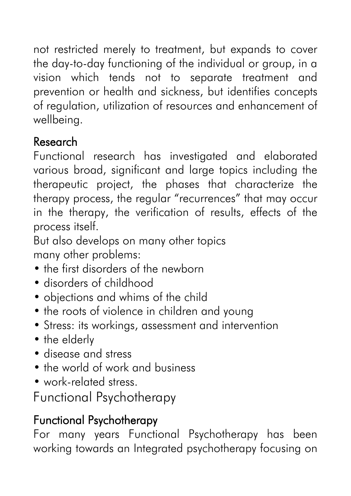not restricted merely to treatment, but expands to cover the day-to-day functioning of the individual or group, in a vision which tends not to separate treatment and prevention or health and sickness, but identifies concepts of regulation, utilization of resources and enhancement of wellbeing.

## Research

Functional research has investigated and elaborated various broad, significant and large topics including the therapeutic project, the phases that characterize the therapy process, the regular "recurrences" that may occur in the therapy, the verification of results, effects of the process itself.

But also develops on many other topics many other problems:

- the first disorders of the newborn
- disorders of childhood
- objections and whims of the child
- the roots of violence in children and young
- Stress: its workings, assessment and intervention
- the elderly
- disease and stress
- the world of work and business
- work-related stress.

Functional Psychotherapy

## Functional Psychotherapy

For many years Functional Psychotherapy has been working towards an Integrated psychotherapy focusing on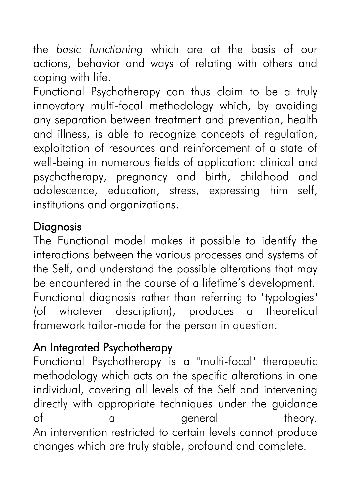the *basic functioning* which are at the basis of our actions, behavior and ways of relating with others and coping with life.

Functional Psychotherapy can thus claim to be a truly innovatory multi-focal methodology which, by avoiding any separation between treatment and prevention, health and illness, is able to recognize concepts of regulation, exploitation of resources and reinforcement of a state of well-being in numerous fields of application: clinical and psychotherapy, pregnancy and birth, childhood and adolescence, education, stress, expressing him self, institutions and organizations.

### **Diagnosis**

The Functional model makes it possible to identify the interactions between the various processes and systems of the Self, and understand the possible alterations that may be encountered in the course of a lifetime's development. Functional diagnosis rather than referring to "typologies" (of whatever description), produces a theoretical framework tailor-made for the person in question.

## An Integrated Psychotherapy

Functional Psychotherapy is a "multi-focal" therapeutic methodology which acts on the specific alterations in one individual, covering all levels of the Self and intervening directly with appropriate techniques under the guidance of a general theory. An intervention restricted to certain levels cannot produce changes which are truly stable, profound and complete.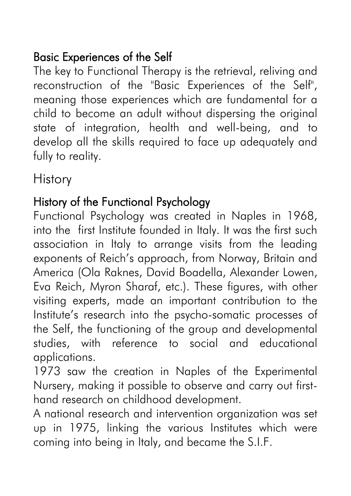## Basic Experiences of the Self

The key to Functional Therapy is the retrieval, reliving and reconstruction of the "Basic Experiences of the Self", meaning those experiences which are fundamental for a child to become an adult without dispersing the original state of integration, health and well-being, and to develop all the skills required to face up adequately and fully to reality.

**History** 

#### History of the Functional Psychology

Functional Psychology was created in Naples in 1968, into the first Institute founded in Italy. It was the first such association in Italy to arrange visits from the leading exponents of Reich's approach, from Norway, Britain and America (Ola Raknes, David Boadella, Alexander Lowen, Eva Reich, Myron Sharaf, etc.). These figures, with other visiting experts, made an important contribution to the Institute's research into the psycho-somatic processes of the Self, the functioning of the group and developmental studies, with reference to social and educational applications.

1973 saw the creation in Naples of the Experimental Nursery, making it possible to observe and carry out firsthand research on childhood development.

A national research and intervention organization was set up in 1975, linking the various Institutes which were coming into being in Italy, and became the S.I.F.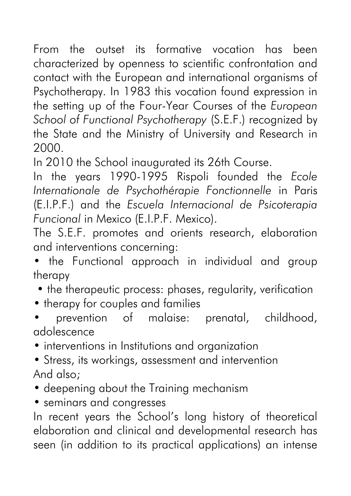From the outset its formative vocation has been characterized by openness to scientific confrontation and contact with the European and international organisms of Psychotherapy. In 1983 this vocation found expression in the setting up of the Four-Year Courses of the *European School of Functional Psychotherapy* (S.E.F.) recognized by the State and the Ministry of University and Research in 2000.

In 2010 the School inaugurated its 26th Course.

In the years 1990-1995 Rispoli founded the *Ecole Internationale de Psychothérapie Fonctionnelle* in Paris (E.I.P.F.) and the *Escuela Internacional de Psicoterapia Funcional* in Mexico (E.I.P.F. Mexico).

The S.E.F. promotes and orients research, elaboration and interventions concerning:

• the Functional approach in individual and group therapy

• the therapeutic process: phases, regularity, verification

• therapy for couples and families

• prevention of malaise: prenatal, childhood, adolescence

• interventions in Institutions and organization

- Stress, its workings, assessment and intervention And also;
- deepening about the Training mechanism
- seminars and congresses

In recent years the School's long history of theoretical elaboration and clinical and developmental research has seen (in addition to its practical applications) an intense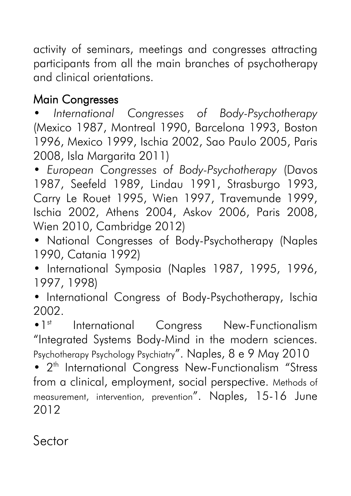activity of seminars, meetings and congresses attracting participants from all the main branches of psychotherapy and clinical orientations.

## Main Congresses

• *International Congresses of Body-Psychotherapy* (Mexico 1987, Montreal 1990, Barcelona 1993, Boston 1996, Mexico 1999, Ischia 2002, Sao Paulo 2005, Paris 2008, Isla Margarita 2011)

• *European Congresses of Body-Psychotherapy* (Davos 1987, Seefeld 1989, Lindau 1991, Strasburgo 1993, Carry Le Rouet 1995, Wien 1997, Travemunde 1999, Ischia 2002, Athens 2004, Askov 2006, Paris 2008, Wien 2010, Cambridge 2012)

• National Congresses of Body-Psychotherapy (Naples 1990, Catania 1992)

• International Symposia (Naples 1987, 1995, 1996, 1997, 1998)

• International Congress of Body-Psychotherapy, Ischia 2002.

• 1<sup>st</sup> International Congress New-Functionalism "Integrated Systems Body-Mind in the modern sciences. Psychotherapy Psychology Psychiatry". Naples, 8 e 9 May 2010

• 2<sup>th</sup> International Congress New-Functionalism "Stress from a clinical, employment, social perspective. Methods of measurement, intervention, prevention". Naples, 15-16 June 2012

Sector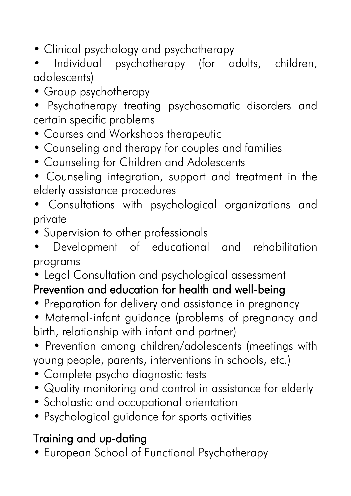- Clinical psychology and psychotherapy
- Individual psychotherapy (for adults, children, adolescents)
- Group psychotherapy
- Psychotherapy treating psychosomatic disorders and certain specific problems
- Courses and Workshops therapeutic
- Counseling and therapy for couples and families
- Counseling for Children and Adolescents
- Counseling integration, support and treatment in the elderly assistance procedures
- Consultations with psychological organizations and private
- Supervision to other professionals
- Development of educational and rehabilitation programs
- Legal Consultation and psychological assessment

# Prevention and education for health and well-being

- Preparation for delivery and assistance in pregnancy
- Maternal-infant guidance (problems of pregnancy and birth, relationship with infant and partner)
- Prevention among children/adolescents (meetings with young people, parents, interventions in schools, etc.)
- Complete psycho diagnostic tests
- Quality monitoring and control in assistance for elderly
- Scholastic and occupational orientation
- Psychological guidance for sports activities

## Training and up-dating

• European School of Functional Psychotherapy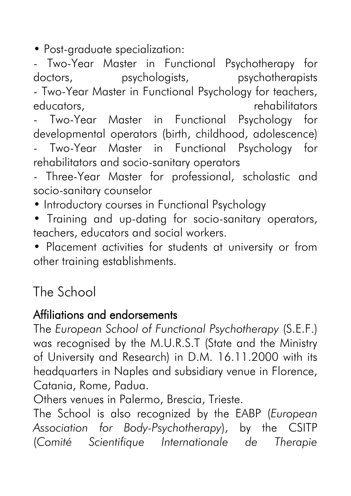• Post-graduate specialization:

- Two-Year Master in Functional Psychotherapy for doctors, psychologists, psychotherapists

- Two-Year Master in Functional Psychology for teachers, educators, educators, rehabilitators educators,

Two-Year Master in Functional Psychology for developmental operators (birth, childhood, adolescence)

- Two-Year Master in Functional Psychology for rehabilitators and socio-sanitary operators

- Three-Year Master for professional, scholastic and socio-sanitary counselor

• Introductory courses in Functional Psychology

• Training and up-dating for socio-sanitary operators, teachers, educators and social workers.

• Placement activities for students at university or from other training establishments.

## The School

#### Affiliations and endorsements

The *European School of Functional Psychotherapy* (S.E.F.) was recognised by the M.U.R.S.T (State and the Ministry of University and Research) in D.M. 16.11.2000 with its headquarters in Naples and subsidiary venue in Florence, Catania, Rome, Padua.

Others venues in Palermo, Brescia, Trieste.

The School is also recognized by the EABP (*European Association for Body-Psychotherapy*), by the CSITP (*Comité Scientifique Internationale de Therapie*